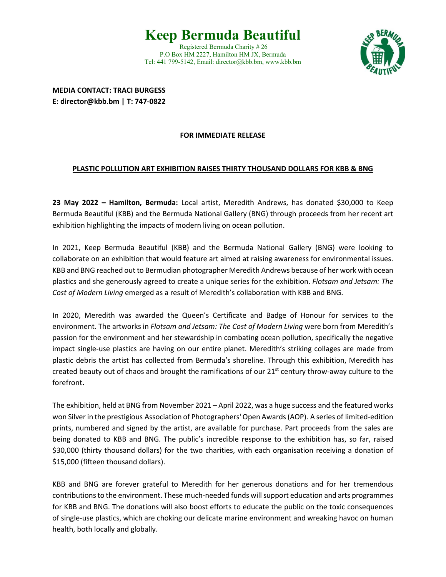## **Keep Bermuda Beautiful**

Registered Bermuda Charity # 26 P.O Box HM 2227, Hamilton HM JX, Bermuda Tel: 441 799-5142, Email: director@kbb.bm, [www.kbb.bm](http://www.kbb.bm/)



**MEDIA CONTACT: TRACI BURGESS E: director@kbb.bm | T: 747-0822**

## **FOR IMMEDIATE RELEASE**

## **PLASTIC POLLUTION ART EXHIBITION RAISES THIRTY THOUSAND DOLLARS FOR KBB & BNG**

**23 May 2022 – Hamilton, Bermuda:** Local artist, Meredith Andrews, has donated \$30,000 to Keep Bermuda Beautiful (KBB) and the Bermuda National Gallery (BNG) through proceeds from her recent art exhibition highlighting the impacts of modern living on ocean pollution.

In 2021, Keep Bermuda Beautiful (KBB) and the Bermuda National Gallery (BNG) were looking to collaborate on an exhibition that would feature art aimed at raising awareness for environmental issues. KBB and BNG reached out to Bermudian photographer Meredith Andrews because of her work with ocean plastics and she generously agreed to create a unique series for the exhibition. *Flotsam and Jetsam: The Cost of Modern Living* emerged as a result of Meredith's collaboration with KBB and BNG.

In 2020, Meredith was awarded the Queen's Certificate and Badge of Honour for services to the environment. The artworks in *Flotsam and Jetsam: The Cost of Modern Living* were born from Meredith's passion for the environment and her stewardship in combating ocean pollution, specifically the negative impact single-use plastics are having on our entire planet. Meredith's striking collages are made from plastic debris the artist has collected from Bermuda's shoreline. Through this exhibition, Meredith has created beauty out of chaos and brought the ramifications of our  $21<sup>st</sup>$  century throw-away culture to the forefront**.**

The exhibition, held at BNG from November 2021 – April 2022, was a huge success and the featured works won Silver in the prestigious Association of Photographers' Open Awards (AOP). A series of limited-edition prints, numbered and signed by the artist, are available for purchase. Part proceeds from the sales are being donated to KBB and BNG. The public's incredible response to the exhibition has, so far, raised \$30,000 (thirty thousand dollars) for the two charities, with each organisation receiving a donation of \$15,000 (fifteen thousand dollars).

KBB and BNG are forever grateful to Meredith for her generous donations and for her tremendous contributionsto the environment. These much-needed funds willsupport education and arts programmes for KBB and BNG. The donations will also boost efforts to educate the public on the toxic consequences of single-use plastics, which are choking our delicate marine environment and wreaking havoc on human health, both locally and globally.